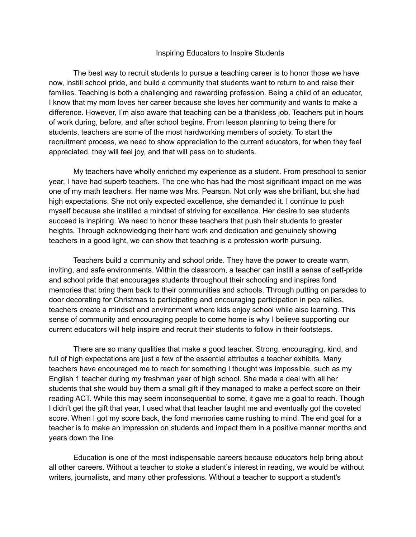## Inspiring Educators to Inspire Students

The best way to recruit students to pursue a teaching career is to honor those we have now, instill school pride, and build a community that students want to return to and raise their families. Teaching is both a challenging and rewarding profession. Being a child of an educator, I know that my mom loves her career because she loves her community and wants to make a difference. However, I'm also aware that teaching can be a thankless job. Teachers put in hours of work during, before, and after school begins. From lesson planning to being there for students, teachers are some of the most hardworking members of society. To start the recruitment process, we need to show appreciation to the current educators, for when they feel appreciated, they will feel joy, and that will pass on to students.

My teachers have wholly enriched my experience as a student. From preschool to senior year, I have had superb teachers. The one who has had the most significant impact on me was one of my math teachers. Her name was Mrs. Pearson. Not only was she brilliant, but she had high expectations. She not only expected excellence, she demanded it. I continue to push myself because she instilled a mindset of striving for excellence. Her desire to see students succeed is inspiring. We need to honor these teachers that push their students to greater heights. Through acknowledging their hard work and dedication and genuinely showing teachers in a good light, we can show that teaching is a profession worth pursuing.

Teachers build a community and school pride. They have the power to create warm, inviting, and safe environments. Within the classroom, a teacher can instill a sense of self-pride and school pride that encourages students throughout their schooling and inspires fond memories that bring them back to their communities and schools. Through putting on parades to door decorating for Christmas to participating and encouraging participation in pep rallies, teachers create a mindset and environment where kids enjoy school while also learning. This sense of community and encouraging people to come home is why I believe supporting our current educators will help inspire and recruit their students to follow in their footsteps.

There are so many qualities that make a good teacher. Strong, encouraging, kind, and full of high expectations are just a few of the essential attributes a teacher exhibits. Many teachers have encouraged me to reach for something I thought was impossible, such as my English 1 teacher during my freshman year of high school. She made a deal with all her students that she would buy them a small gift if they managed to make a perfect score on their reading ACT. While this may seem inconsequential to some, it gave me a goal to reach. Though I didn't get the gift that year, I used what that teacher taught me and eventually got the coveted score. When I got my score back, the fond memories came rushing to mind. The end goal for a teacher is to make an impression on students and impact them in a positive manner months and years down the line.

Education is one of the most indispensable careers because educators help bring about all other careers. Without a teacher to stoke a student's interest in reading, we would be without writers, journalists, and many other professions. Without a teacher to support a student's